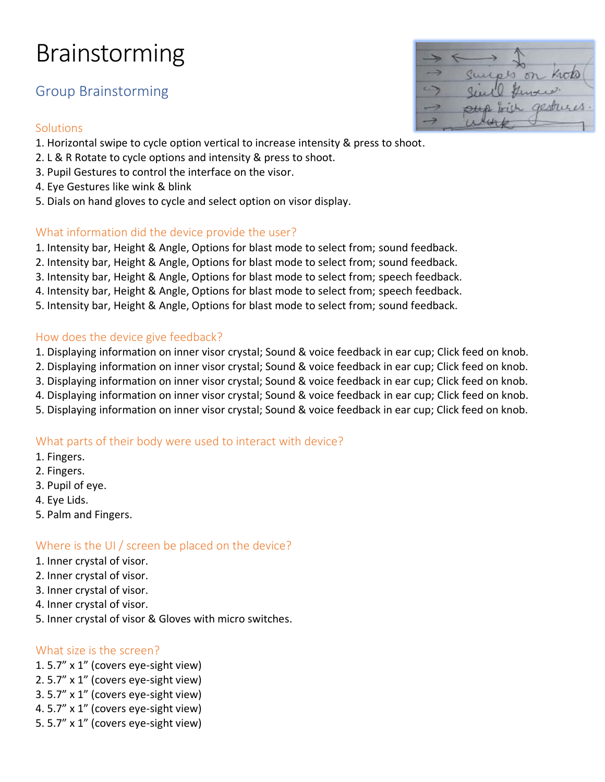# Brainstorming

# Group Brainstorming

### **Solutions**

- 1. Horizontal swipe to cycle option vertical to increase intensity & press to shoot.
- 2. L & R Rotate to cycle options and intensity & press to shoot.
- 3. Pupil Gestures to control the interface on the visor.
- 4. Eye Gestures like wink & blink
- 5. Dials on hand gloves to cycle and select option on visor display.

### What information did the device provide the user?

- 1. Intensity bar, Height & Angle, Options for blast mode to select from; sound feedback.
- 2. Intensity bar, Height & Angle, Options for blast mode to select from; sound feedback.
- 3. Intensity bar, Height & Angle, Options for blast mode to select from; speech feedback.
- 4. Intensity bar, Height & Angle, Options for blast mode to select from; speech feedback.
- 5. Intensity bar, Height & Angle, Options for blast mode to select from; sound feedback.

### How does the device give feedback?

- 1. Displaying information on inner visor crystal; Sound & voice feedback in ear cup; Click feed on knob.
- 2. Displaying information on inner visor crystal; Sound & voice feedback in ear cup; Click feed on knob.
- 3. Displaying information on inner visor crystal; Sound & voice feedback in ear cup; Click feed on knob.
- 4. Displaying information on inner visor crystal; Sound & voice feedback in ear cup; Click feed on knob.
- 5. Displaying information on inner visor crystal; Sound & voice feedback in ear cup; Click feed on knob.

### What parts of their body were used to interact with device?

- 1. Fingers.
- 2. Fingers.
- 3. Pupil of eye.
- 4. Eye Lids.
- 5. Palm and Fingers.

### Where is the UI / screen be placed on the device?

- 1. Inner crystal of visor.
- 2. Inner crystal of visor.
- 3. Inner crystal of visor.
- 4. Inner crystal of visor.
- 5. Inner crystal of visor & Gloves with micro switches.

### What size is the screen?

- 1. 5.7" x 1" (covers eye-sight view)
- 2. 5.7" x 1" (covers eye-sight view)
- 3. 5.7" x 1" (covers eye-sight view)
- 4. 5.7" x 1" (covers eye-sight view)
- 5. 5.7" x 1" (covers eye-sight view)